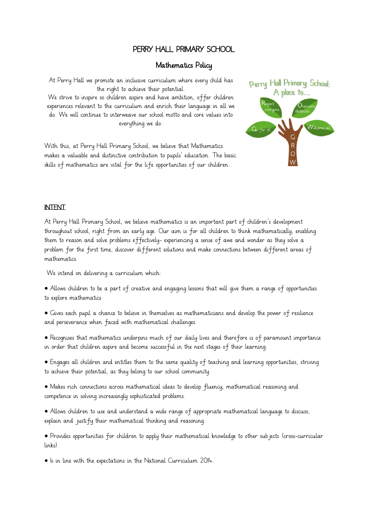# PERRY HALL PRIMARY SCHOOL

### Mathematics Policy

At Perry Hall we promote an inclusive curriculum where every child has the right to achieve their potential. We strive to inspire so children aspire and have ambition, offer children experiences relevant to the curriculum and enrich their language in all we do. We will continue to interweave our school motto and core values into everything we do:

With this, at Perry Hall Primary School, we believe that Mathematics makes a valuable and distinctive contribution to pupils' education. The basic skills of mathematics are vital for the life opportunities of our children.



#### INTENT

At Perry Hall Primary School, we believe mathematics is an important part of children's development throughout school, right from an early age. Our aim is for all children to think mathematically, enabling them to reason and solve problems effectively- experiencing a sense of awe and wonder as they solve a problem for the first time, discover different solutions and make connections between different areas of mathematics.

We intend on delivering a curriculum which:

- Allows children to be a part of creative and engaging lessons that will give them a range of opportunities to explore mathematics
- Gives each pupil a chance to believe in themselves as mathematicians and develop the power of resilience and perseverance when faced with mathematical challenges.
- Recognises that mathematics underpins much of our daily lives and therefore is of paramount importance in order that children aspire and become successful in the next stages of their learning.
- Engages all children and entitles them to the same quality of teaching and learning opportunities, striving to achieve their potential, as they belong to our school community.
- Makes rich connections across mathematical ideas to develop fluency, mathematical reasoning and competence in solving increasingly sophisticated problems.
- Allows children to use and understand a wide range of appropriate mathematical language to discuss, explain and justify their mathematical thinking and reasoning.
- Provides opportunities for children to apply their mathematical knowledge to other subjects (cross-curricular links).
- Is in line with the expectations in the National Curriculum 2014.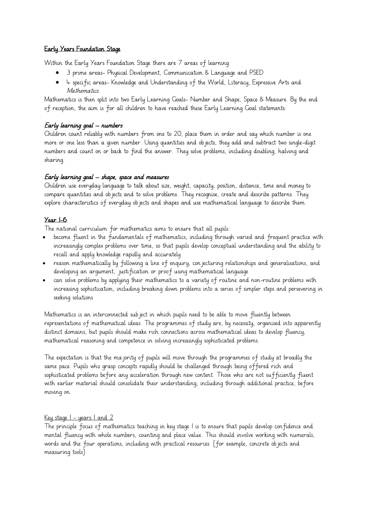# Early Years Foundation Stage

Within the Early Years Foundation Stage there are 7 areas of learning:

- 3 prime areas- Physical Development, Communication & Language and PSED
- 4 specific areas- Knowledge and Understanding of the World, Literacy, Expressive Arts and Mathematics.

Mathematics is then split into two Early Learning Goals- Number and Shape, Space & Measure. By the end of reception, the aim is for all children to have reached these Early Learning Goal statements:

# Early learning goal – numbers

Children count reliably with numbers from one to 20, place them in order and say which number is one more or one less than a given number. Using quantities and objects, they add and subtract two single-digit numbers and count on or back to find the answer. They solve problems, including doubling, halving and sharing.

# Early learning goal – shape, space and measures

Children use everyday language to talk about size, weight, capacity, position, distance, time and money to compare quantities and objects and to solve problems. They recognise, create and describe patterns. They explore characteristics of everyday objects and shapes and use mathematical language to describe them.

# Year 1-6

The national curriculum for mathematics aims to ensure that all pupils:

- become fluent in the fundamentals of mathematics, including through varied and frequent practice with increasingly complex problems over time, so that pupils develop conceptual understanding and the ability to recall and apply knowledge rapidly and accurately
- reason mathematically by following a line of enquiry, con jecturing relationships and generalisations, and developing an argument, justification or proof using mathematical language
- can solve problems by applying their mathematics to a variety of routine and non-routine problems with increasing sophistication, including breaking down problems into a series of simpler steps and persevering in seeking solutions

Mathematics is an interconnected subject in which pupils need to be able to move fluently between representations of mathematical ideas. The programmes of study are, by necessity, organised into apparently distinct domains, but pupils should make rich connections across mathematical ideas to develop fluency, mathematical reasoning and competence in solving increasingly sophisticated problems.

The expectation is that the majority of pupils will move through the programmes of study at broadly the same pace. Pupils who grasp concepts rapidly should be challenged through being offered rich and sophisticated problems before any acceleration through new content. Those who are not sufficiently fluent with earlier material should consolidate their understanding, including through additional practice, before moving on.

# Key stage  $1$  – years  $1$  and  $2$

The principle focus of mathematics teaching in key stage I is to ensure that pupils develop confidence and mental fluency with whole numbers, counting and place value. This should involve working with numerals, words and the four operations, including with practical resources [for example, concrete ob jects and measuring tools].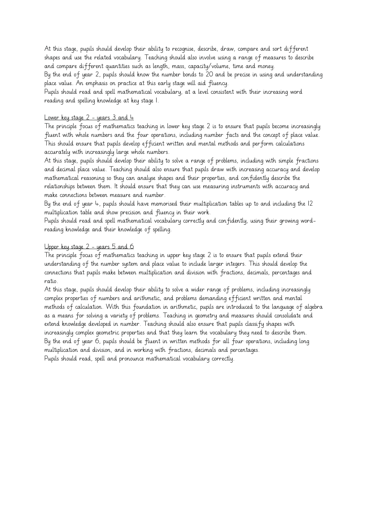At this stage, pupils should develop their ability to recognise, describe, draw, compare and sort different shapes and use the related vocabulary. Teaching should also involve using a range of measures to describe and compare different quantities such as length, mass, capacity/volume, time and money. By the end of year 2, pupils should know the number bonds to 20 and be precise in using and understanding place value. An emphasis on practice at this early stage will aid fluency. Pupils should read and spell mathematical vocabulary, at a level consistent with their increasing word

reading and spelling knowledge at key stage 1.

#### Lower key stage  $2$  - years 3 and  $4$

The principle focus of mathematics teaching in lower key stage 2 is to ensure that pupils become increasingly fluent with whole numbers and the four operations, including number facts and the concept of place value. This should ensure that pupils develop efficient written and mental methods and perform calculations accurately with increasingly large whole numbers.

At this stage, pupils should develop their ability to solve a range of problems, including with simple fractions and decimal place value. Teaching should also ensure that pupils draw with increasing accuracy and develop mathematical reasoning so they can analyse shapes and their properties, and confidently describe the relationships between them. It should ensure that they can use measuring instruments with accuracy and make connections between measure and number.

By the end of year  $4$ , pupils should have memorised their multiplication tables up to and including the  $12$ multiplication table and show precision and fluency in their work.

Pupils should read and spell mathematical vocabulary correctly and confidently, using their growing wordreading knowledge and their knowledge of spelling.

#### Upper key stage 2 - years 5 and 6

The principle focus of mathematics teaching in upper key stage 2 is to ensure that pupils extend their understanding of the number system and place value to include larger integers. This should develop the connections that pupils make between multiplication and division with fractions, decimals, percentages and ratio.

At this stage, pupils should develop their ability to solve a wider range of problems, including increasingly complex properties of numbers and arithmetic, and problems demanding efficient written and mental methods of calculation. With this foundation in arithmetic, pupils are introduced to the language of algebra as a means for solving a variety of problems. Teaching in geometry and measures should consolidate and extend knowledge developed in number. Teaching should also ensure that pupils classify shapes with increasingly complex geometric properties and that they learn the vocabulary they need to describe them. By the end of year 6, pupils should be fluent in written methods for all four operations, including long multiplication and division, and in working with fractions, decimals and percentages. Pupils should read, spell and pronounce mathematical vocabulary correctly.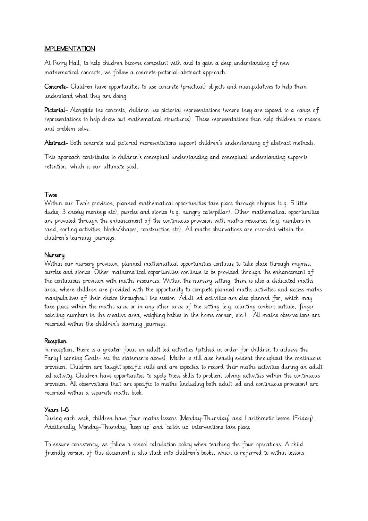### **IMPLEMENTATION**

At Perry Hall, to help children become competent with and to gain a deep understanding of new mathematical concepts, we follow a concrete-pictorial-abstract approach:

Concrete- Children have opportunities to use concrete (practical) objects and manipulatives to help them understand what they are doing.

Pictorial- Alongside the concrete, children use pictorial representations (where they are exposed to a range of representations to help draw out mathematical structures). These representations then help children to reason and problem solve.

Abstract- Both concrete and pictorial representations support children's understanding of abstract methods.

This approach contributes to children's conceptual understanding and conceptual understanding supports retention, which is our ultimate goal.

# Twos

Within our Two's provision, planned mathematical opportunities take place through rhymes (e.g. 5 little ducks, 3 cheeky monkeys etc), puzzles and stories (e.g. hungry caterpillar). Other mathematical opportunities are provided through the enhancement of the continuous provision with maths resources (e.g. numbers in sand, sorting activities, blocks/shapes, construction etc). All maths observations are recorded within the children's learning journeys.

### Nursery

Within our nursery provision, planned mathematical opportunities continue to take place through rhymes, puzzles and stories. Other mathematical opportunities continue to be provided through the enhancement of the continuous provision with maths resources. Within the nursery setting, there is also a dedicated maths area, where children are provided with the opportunity to complete planned maths activities and access maths manipulatives of their choice throughout the session. Adult led activities are also planned for, which may take place within the maths area or in any other area of the setting (e.g. counting conkers outside, finger painting numbers in the creative area, weighing babies in the home corner, etc.). All maths observations are recorded within the children's learning journeys.

### Reception

In reception, there is a greater focus on adult led activities (pitched in order for children to achieve the Early Learning Goals- see the statements above). Maths is still also heavily evident throughout the continuous provision. Children are taught specific skills and are expected to record their maths activities during an adult led activity. Children have opportunities to apply these skills to problem solving activities within the continuous provision. All observations that are specific to maths (including both adult led and continuous provision) are recorded within a separate maths book.

### Years 1-6

During each week, children have four maths lessons (Monday-Thursday) and 1 arithmetic lesson (Friday). Additionally, Monday-Thursday, 'keep up' and 'catch up' interventions take place.

To ensure consistency, we follow a school calculation policy when teaching the four operations. A child friendly version of this document is also stuck into children's books, which is referred to within lessons.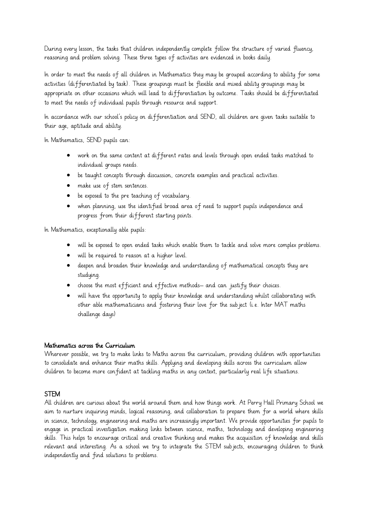During every lesson, the tasks that children independently complete follow the structure of varied fluency, reasoning and problem solving. These three types of activities are evidenced in books daily.

In order to meet the needs of all children in Mathematics they may be grouped according to ability for some activities (differentiated by task). These groupings must be flexible and mixed ability groupings may be appropriate on other occasions which will lead to differentiation by outcome. Tasks should be differentiated to meet the needs of individual pupils through resource and support.

In accordance with our school's policy on differentiation and SEND, all children are given tasks suitable to their age, aptitude and ability.

In Mathematics, SEND pupils can:

- work on the same content at different rates and levels through open ended tasks matched to individual groups needs.
- be taught concepts through discussion, concrete examples and practical activities.
- make use of stem sentences.
- be exposed to the pre teaching of vocabulary.
- when planning, use the identified broad area of need to support pupils independence and progress from their different starting points.

In Mathematics, exceptionally able pupils:

- will be exposed to open ended tasks which enable them to tackle and solve more complex problems.
- will be required to reason at a higher level.
- deepen and broaden their knowledge and understanding of mathematical concepts they are studying.
- choose the most efficient and effective methods– and can justify their choices.
- will have the opportunity to apply their knowledge and understanding whilst collaborating with other able mathematicians and fostering their love for the subject (i.e. Inter MAT maths challenge days)

#### Mathematics across the Curriculum

Wherever possible, we try to make links to Maths across the curriculum, providing children with opportunities to consolidate and enhance their maths skills. Applying and developing skills across the curriculum allow children to become more confident at tackling maths in any context, particularly real life situations.

### STEM

All children are curious about the world around them and how things work. At Perry Hall Primary School we aim to nurture inquiring minds, logical reasoning, and collaboration to prepare them for a world where skills in science, technology, engineering and maths are increasingly important. We provide opportunities for pupils to engage in practical investigation making links between science, maths, technology and developing engineering skills. This helps to encourage critical and creative thinking and makes the acquisition of knowledge and skills relevant and interesting. As a school we try to integrate the STEM subjects, encouraging children to think independently and find solutions to problems.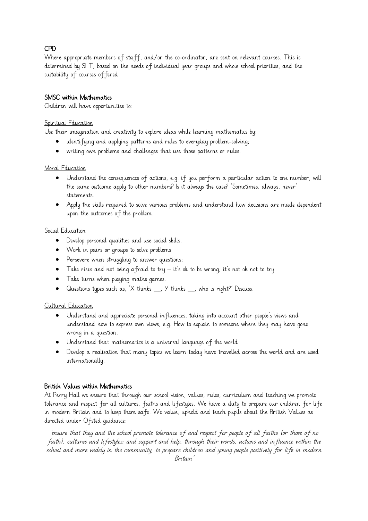# CPD

Where appropriate members of staff, and/or the co-ordinator, are sent on relevant courses. This is determined by SLT, based on the needs of individual year groups and whole school priorities, and the suitability of courses offered.

# SMSC within Mathematics

Children will have opportunities to:

### Spiritual Education

Use their imagination and creativity to explore ideas while learning mathematics by:

- identifying and applying patterns and rules to everyday problem-solving;
- writing own problems and challenges that use those patterns or rules.

### Moral Education

- Understand the consequences of actions, e.g. if you perform a particular action to one number, will the same outcome apply to other numbers? Is it always the case? 'Sometimes, always, never' statements.
- Apply the skills required to solve various problems and understand how decisions are made dependent upon the outcomes of the problem.

#### Social Education

- Develop personal qualities and use social skills.
- Work in pairs or groups to solve problems
- Persevere when struggling to answer questions;
- Take risks and not being a fraid to try  $-$  it's ok to be wrong, it's not ok not to try
- Take turns when playing maths games.
- Questions types such as, 'X thinks \_\_\_, Y thinks \_\_\_, who is right?' Discuss.

### Cultural Education

- Understand and appreciate personal influences, taking into account other people's views and understand how to express own views, e.g. How to explain to someone where they may have gone wrong in a question.
- Understand that mathematics is a universal language of the world
- Develop a realisation that many topics we learn today have travelled across the world and are used internationally.

### British Values within Mathematics

At Perry Hall we ensure that through our school vision, values, rules, curriculum and teaching we promote tolerance and respect for all cultures, faiths and lifestyles. We have a duty to prepare our children for life in modern Britain and to keep them safe. We value, uphold and teach pupils about the British Values as directed under Ofsted guidance:

'ensure that they and the school promote tolerance of and respect for people of all faiths (or those of no faith), cultures and lifestyles; and support and help, through their words, actions and influence within the school and more widely in the community, to prepare children and young people positively for life in modern Britain'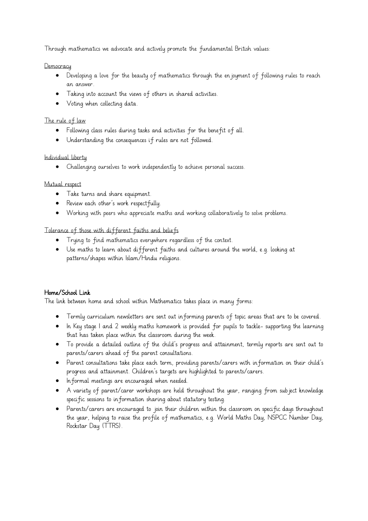Through mathematics we advocate and actively promote the fundamental British values:

# **Democracy**

- Developing a love for the beauty of mathematics through the enjoyment of following rules to reach an answer.
- Taking into account the views of others in shared activities.
- Voting when collecting data.

# The rule of law

- Following class rules during tasks and activities for the benefit of all.
- Understanding the consequences if rules are not followed.

# Individual liberty

Challenging ourselves to work independently to achieve personal success.

# Mutual respect

- Take turns and share equipment.
- Review each other's work respectfully.
- Working with peers who appreciate maths and working collaboratively to solve problems.

# Tolerance of those with different faiths and beliefs

- Trying to find mathematics everywhere regardless of the context.
- Use maths to learn about different faiths and cultures around the world, e.g. looking at patterns/shapes within Islam/Hindu religions.

# Home/School Link

The link between home and school within Mathematics takes place in many forms:

- Termly curriculum newsletters are sent out informing parents of topic areas that are to be covered.
- In Key stage I and 2 weekly maths homework is provided for pupils to tackle- supporting the learning that has taken place within the classroom during the week.
- To provide a detailed outline of the child's progress and attainment, termly reports are sent out to parents/carers ahead of the parent consultations.
- Parent consultations take place each term, providing parents/carers with information on their child's progress and attainment. Children's targets are highlighted to parents/carers.
- Informal meetings are encouraged when needed.
- A variety of parent/carer workshops are held throughout the year, ranging from subject knowledge specific sessions to information sharing about statutory testing.
- Parents/carers are encouraged to join their children within the classroom on specific days throughout the year, helping to raise the profile of mathematics, e.g. World Maths Day, NSPCC Number Day, Rockstar Day (TTRS).